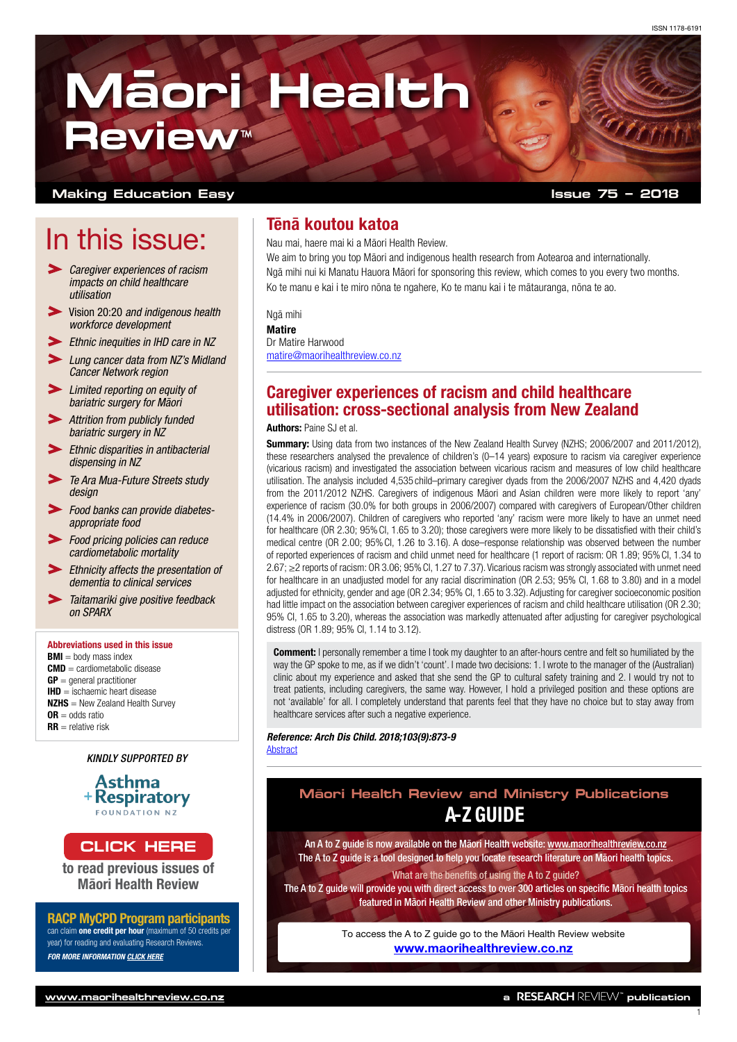# **Ma -ori Health Review™**

#### **Making Education Easy**

## In this issue:

- *Caregiver experiences of racism impacts on child healthcare utilisation*
- Vision 20:20 *[and indigenous health](#page-1-0)  [workforce development](#page-1-0)*
- *[Ethnic inequities in IHD care in NZ](#page-1-0)*
- *[Lung cancer data from NZ's Midland](#page-1-0)  [Cancer Network region](#page-1-0)*
- *[Limited reporting on equity of](#page-2-0)  [bariatric surgery for Māori](#page-2-0)*
- *[Attrition from publicly funded](#page-2-0)  [bariatric surgery in NZ](#page-2-0)*
- *[Ethnic disparities in antibacterial](#page-2-0)  [dispensing in NZ](#page-2-0)*
- *[Te Ara Mua-Future Streets study](#page-2-0)  [design](#page-2-0)*
- *[Food banks can provide diabetes](#page-3-0)[appropriate food](#page-3-0)*
- *[Food pricing policies can reduce](#page-3-0)  [cardiometabolic mortality](#page-3-0)*
- *[Ethnicity affects the presentation of](#page-3-0)  [dementia to clinical services](#page-3-0)*
- *[Taitamariki give positive feedback](#page-3-0)  [on SPARX](#page-3-0)*

#### Abbreviations used in this issue

 $BMI =$  body mass index CMD = cardiometabolic disease  $GP =$  general practitioner  $$ **NZHS** = New Zealand Health Survey  $\mathsf{OR}$  – odds ratio  $RR =$  relative risk

#### *KINDLY SUPPORTED BY*



to read previous issues of Māori Health Review

RACP MyCPD Program participants can claim **one credit per hour** (maximum of 50 credits per year) for reading and evaluating Research Reviews. *FOR MORE INFORMATION [CLICK HERE](https://www.racp.edu.au/fellows/continuing-professional-development)*

## Tēnā koutou katoa

Nau mai, haere mai ki a Māori Health Review.

We aim to bring you top Māori and indigenous health research from Aotearoa and internationally. Ngā mihi nui ki Manatu Hauora Māori for sponsoring this review, which comes to you every two months. Ko te manu e kai i te miro nōna te ngahere, Ko te manu kai i te mātauranga, nōna te ao.

Ngā mihi

### **Matire**

Dr Matire Harwood [matire@maorihealthreview.co.nz](mailto:matire%40maorihealthreview.co.nz?subject=)

## Caregiver experiences of racism and child healthcare utilisation: cross-sectional analysis from New Zealand

#### Authors: Paine SJ et al.

**Summary:** Using data from two instances of the New Zealand Health Survey (NZHS: 2006/2007 and 2011/2012). these researchers analysed the prevalence of children's (0–14 years) exposure to racism via caregiver experience (vicarious racism) and investigated the association between vicarious racism and measures of low child healthcare utilisation. The analysis included 4,535 child–primary caregiver dyads from the 2006/2007 NZHS and 4,420 dyads from the 2011/2012 NZHS. Caregivers of indigenous Māori and Asian children were more likely to report 'any' experience of racism (30.0% for both groups in 2006/2007) compared with caregivers of European/Other children (14.4% in 2006/2007). Children of caregivers who reported 'any' racism were more likely to have an unmet need for healthcare (OR 2.30; 95%CI, 1.65 to 3.20); those caregivers were more likely to be dissatisfied with their child's medical centre (OR 2.00; 95%CI, 1.26 to 3.16). A dose–response relationship was observed between the number of reported experiences of racism and child unmet need for healthcare (1 report of racism: OR 1.89; 95%CI, 1.34 to 2.67; ≥2 reports of racism: OR 3.06; 95%CI, 1.27 to 7.37). Vicarious racism was strongly associated with unmet need for healthcare in an unadjusted model for any racial discrimination (OR 2.53; 95% CI, 1.68 to 3.80) and in a model adjusted for ethnicity, gender and age (OR 2.34; 95% CI, 1.65 to 3.32). Adjusting for caregiver socioeconomic position had little impact on the association between caregiver experiences of racism and child healthcare utilisation (OR 2.30; 95% CI, 1.65 to 3.20), whereas the association was markedly attenuated after adjusting for caregiver psychological distress (OR 1.89; 95% CI, 1.14 to 3.12).

**Comment:** I personally remember a time I took my daughter to an after-hours centre and felt so humiliated by the way the GP spoke to me, as if we didn't 'count'. I made two decisions: 1. I wrote to the manager of the (Australian) clinic about my experience and asked that she send the GP to cultural safety training and 2. I would try not to treat patients, including caregivers, the same way. However, I hold a privileged position and these options are not 'available' for all. I completely understand that parents feel that they have no choice but to stay away from healthcare services after such a negative experience.

#### *Reference: Arch Dis Child. 2018;103(9):873-9* **[Abstract](https://adc.bmj.com/content/103/9/873.long)**

## A-Z GUIDE **Ma¯ori Health Review and Ministry Publications**

[CLICK HERE](http://www.researchreview.co.nz/nz/Clinical-Area/Other-Health/Maori-Health.aspx) **An A to Z guide is now available on the Māori Health website: [www.maorihealthreview.co.nz](http://www.maorihealthreview.co.nz)** The A to Z guide is a tool designed to help you locate research literature on Māori health topics. What are the benefits of using the A to Z guide?

> The A to Z guide will provide you with direct access to over 300 articles on specific Māori health topics featured in Māori Health Review and other Ministry publications.

> > To access the A to Z guide go to the Māori Health Review website [www.maorihealthreview.co.nz](http://www.maorihealthreview.co.nz)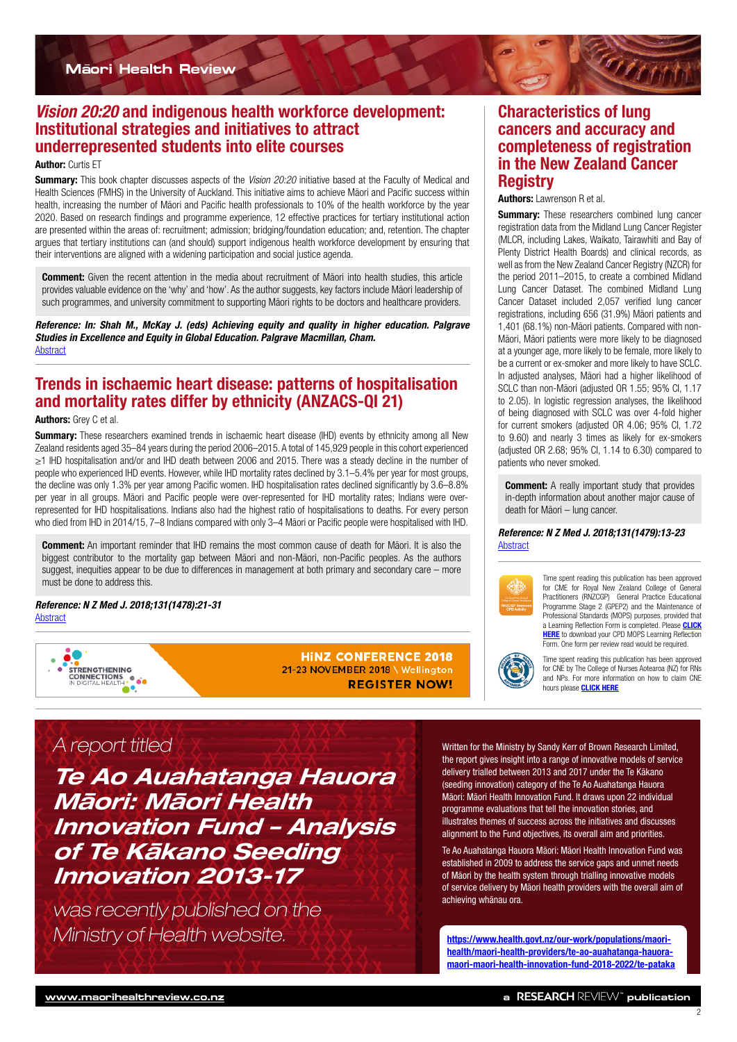<span id="page-1-0"></span>

## *Vision 20:20* and indigenous health workforce development: Institutional strategies and initiatives to attract underrepresented students into elite courses

#### **Author: Curtis ET**

Summary: This book chapter discusses aspects of the *Vision 20:20* initiative based at the Faculty of Medical and Health Sciences (FMHS) in the University of Auckland. This initiative aims to achieve Māori and Pacific success within health, increasing the number of Māori and Pacific health professionals to 10% of the health workforce by the year 2020. Based on research findings and programme experience, 12 effective practices for tertiary institutional action are presented within the areas of: recruitment; admission; bridging/foundation education; and, retention. The chapter argues that tertiary institutions can (and should) support indigenous health workforce development by ensuring that their interventions are aligned with a widening participation and social justice agenda.

**Comment:** Given the recent attention in the media about recruitment of Māori into health studies, this article provides valuable evidence on the 'why' and 'how'. As the author suggests, key factors include Māori leadership of such programmes, and university commitment to supporting Māori rights to be doctors and healthcare providers.

*Reference: In: Shah M., McKay J. (eds) Achieving equity and quality in higher education. Palgrave Studies in Excellence and Equity in Global Education. Palgrave Macmillan, Cham.* **[Abstract](https://link.springer.com/chapter/10.1007/978-3-319-78316-1_6)** 

## Trends in ischaemic heart disease: patterns of hospitalisation and mortality rates differ by ethnicity (ANZACS-QI 21)

#### Authors: Grey C et al.

Summary: These researchers examined trends in ischaemic heart disease (IHD) events by ethnicity among all New Zealand residents aged 35–84 years during the period 2006–2015. A total of 145,929 people in this cohort experienced ≥1 IHD hospitalisation and/or and IHD death between 2006 and 2015. There was a steady decline in the number of people who experienced IHD events. However, while IHD mortality rates declined by 3.1–5.4% per year for most groups, the decline was only 1.3% per year among Pacific women. IHD hospitalisation rates declined significantly by 3.6–8.8% per year in all groups. Māori and Pacific people were over-represented for IHD mortality rates; Indians were overrepresented for IHD hospitalisations. Indians also had the highest ratio of hospitalisations to deaths. For every person who died from IHD in 2014/15, 7–8 Indians compared with only 3–4 Māori or Pacific people were hospitalised with IHD.

**Comment:** An important reminder that IHD remains the most common cause of death for Māori. It is also the biggest contributor to the mortality gap between Māori and non-Māori, non-Pacific peoples. As the authors suggest, inequities appear to be due to differences in management at both primary and secondary care – more must be done to address this.

*Reference: N Z Med J. 2018;131(1478):21-31* **[Abstract](http://www.nzma.org.nz/journal/read-the-journal/all-issues/2010-2019/2018/vol-131-no-1478-13-july-2018/7618)** 

STRENGTHENING<br>CONNECTIONS<br>IN DIGITAL HEALTH : OC o.

**HINZ CONFERENCE 2018** 21-23 NOVEMBER 2018 \ Wellington **REGISTER NOW!** 

## Characteristics of lung cancers and accuracy and completeness of registration in the New Zealand Cancer **Registry**

#### Authors: Lawrenson R et al.

**Summary:** These researchers combined lung cancer registration data from the Midland Lung Cancer Register (MLCR, including Lakes, Waikato, Tairawhiti and Bay of Plenty District Health Boards) and clinical records, as well as from the New Zealand Cancer Registry (NZCR) for the period 2011–2015, to create a combined Midland Lung Cancer Dataset. The combined Midland Lung Cancer Dataset included 2,057 verified lung cancer registrations, including 656 (31.9%) Māori patients and 1,401 (68.1%) non-Māori patients. Compared with non-Māori, Māori patients were more likely to be diagnosed at a younger age, more likely to be female, more likely to be a current or ex-smoker and more likely to have SCLC. In adjusted analyses, Māori had a higher likelihood of SCLC than non-Māori (adjusted OR 1.55; 95% CI, 1.17 to 2.05). In logistic regression analyses, the likelihood of being diagnosed with SCLC was over 4-fold higher for current smokers (adjusted OR 4.06; 95% CI, 1.72 to 9.60) and nearly 3 times as likely for ex-smokers (adjusted OR 2.68; 95% CI, 1.14 to 6.30) compared to patients who never smoked.

**Comment:** A really important study that provides in-depth information about another major cause of death for Māori – lung cancer.

#### *Reference: N Z Med J. 2018;131(1479):13-23* **[Abstract](http://www.nzma.org.nz/journal/read-the-journal/all-issues/2010-2019/2018/vol-131-no-147927-july-2018/7641)**



Time spent reading this publication has been approved for CME for Royal New Zealand College of General Practitioners (RNZCGP) General Practice Educational Programme Stage 2 (GPEP2) and the Maintenance of Professional Standards (MOPS) purposes, provided that a Learning Reflection Form is completed. Please CLICK **[HERE](http://www.researchreview.co.nz/getmedia/89f04a26-be24-4534-9ca0-cf7427987515/2015-Learning-Reflection-Form.pdf.aspx)** to download your CPD MOPS Learning Reflection Form. One form per review read would be required.



Time spent reading this publication has been approved for CNE by The College of Nurses Aotearoa (NZ) for RNs and NPs. For more information on how to claim CNE hours please [CLICK HERE](http://www.nurse.org.nz/continuing-nursing-education-cne-template.html)

## A report titled

*Te Ao Auahatanga Hauora Māori: Māori Health Innovation Fund – Analysis of Te Kākano Seeding Innovation 2013-17*

was recently published on the Ministry of Health website. [https://www.health.govt.nz/our-work/populations/maori-](https://www.health.govt.nz/our-work/populations/maori-health/maori-health-providers/te-ao-auahatanga-hauora-maori-maori-health-innovation-fund-2018-2022/te-pataka)

Written for the Ministry by Sandy Kerr of Brown Research Limited, the report gives insight into a range of innovative models of service delivery trialled between 2013 and 2017 under the Te Kākano (seeding innovation) category of the Te Ao Auahatanga Hauora Māori: Māori Health Innovation Fund. It draws upon 22 individual programme evaluations that tell the innovation stories, and illustrates themes of success across the initiatives and discusses alignment to the Fund objectives, its overall aim and priorities.

Te Ao Auahatanga Hauora Māori: Māori Health Innovation Fund was established in 2009 to address the service gaps and unmet needs of Māori by the health system through trialling innovative models of service delivery by Māori health providers with the overall aim of achieving whānau ora.

[health/maori-health-providers/te-ao-auahatanga-hauora](https://www.health.govt.nz/our-work/populations/maori-health/maori-health-providers/te-ao-auahatanga-hauora-maori-maori-health-innovation-fund-2018-2022/te-pataka)[maori-maori-health-innovation-fund-2018-2022/te-pataka](https://www.health.govt.nz/our-work/populations/maori-health/maori-health-providers/te-ao-auahatanga-hauora-maori-maori-health-innovation-fund-2018-2022/te-pataka)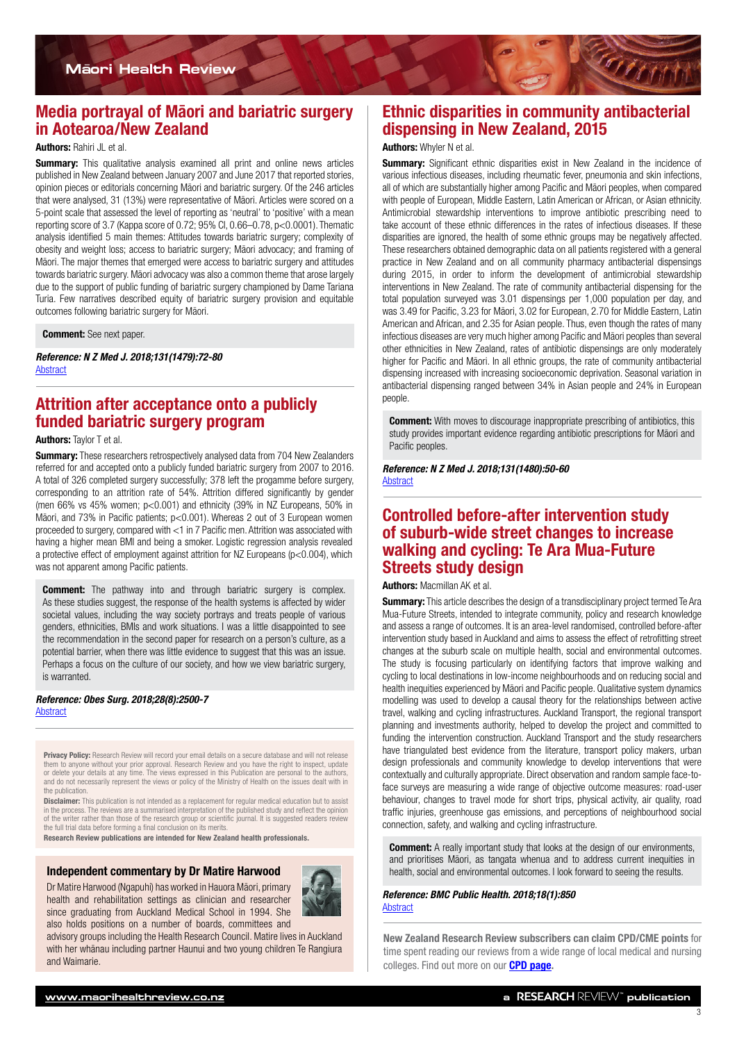<span id="page-2-0"></span>

## Media portrayal of Māori and bariatric surgery in Aotearoa/New Zealand

#### Authors: Rahiri JL et al.

**Summary:** This qualitative analysis examined all print and online news articles published in New Zealand between January 2007 and June 2017 that reported stories, opinion pieces or editorials concerning Māori and bariatric surgery. Of the 246 articles that were analysed, 31 (13%) were representative of Māori. Articles were scored on a 5-point scale that assessed the level of reporting as 'neutral' to 'positive' with a mean reporting score of 3.7 (Kappa score of 0.72; 95% CI, 0.66–0.78, p<0.0001). Thematic analysis identified 5 main themes: Attitudes towards bariatric surgery; complexity of obesity and weight loss; access to bariatric surgery; Māori advocacy; and framing of Māori. The major themes that emerged were access to bariatric surgery and attitudes towards bariatric surgery. Māori advocacy was also a common theme that arose largely due to the support of public funding of bariatric surgery championed by Dame Tariana Turia. Few narratives described equity of bariatric surgery provision and equitable outcomes following bariatric surgery for Māori.

**Comment:** See next paper.

*Reference: N Z Med J. 2018;131(1479):72-80* **[Abstract](http://www.nzma.org.nz/journal/read-the-journal/all-issues/2010-2019/2018/vol-131-no-147927-july-2018/7647)** 

## Attrition after acceptance onto a publicly funded bariatric surgery program

#### Authors: Taylor T et al.

**Summary:** These researchers retrospectively analysed data from 704 New Zealanders referred for and accepted onto a publicly funded bariatric surgery from 2007 to 2016. A total of 326 completed surgery successfully; 378 left the progamme before surgery, corresponding to an attrition rate of 54%. Attrition differed significantly by gender (men 66% vs 45% women; p<0.001) and ethnicity (39% in NZ Europeans, 50% in Māori, and 73% in Pacific patients; p<0.001). Whereas 2 out of 3 European women proceeded to surgery, compared with <1 in 7 Pacific men. Attrition was associated with having a higher mean BMI and being a smoker. Logistic regression analysis revealed a protective effect of employment against attrition for NZ Europeans (p<0.004), which was not apparent among Pacific patients.

**Comment:** The pathway into and through bariatric surgery is complex. As these studies suggest, the response of the health systems is affected by wider societal values, including the way society portrays and treats people of various genders, ethnicities, BMIs and work situations. I was a little disappointed to see the recommendation in the second paper for research on a person's culture, as a potential barrier, when there was little evidence to suggest that this was an issue. Perhaps a focus on the culture of our society, and how we view bariatric surgery, is warranted.

#### *Reference: Obes Surg. 2018;28(8):2500-7* [Abstract](https://link.springer.com/article/10.1007%2Fs11695-018-3195-y)

Privacy Policy: Research Review will record your email details on a secure database and will not release them to anyone without your prior approval. Research Review and you have the right to inspect, update or delete your details at any time. The views expressed in this Publication are personal to the authors, and do not necessarily represent the views or policy of the Ministry of Health on the issues dealt with in the publication.

**Disclaimer:** This publication is not intended as a replacement for regular medical education but to assist in the process. The reviews are a summarised interpretation of the published study and reflect the opinion writer rather than those of the research group or scientific journal. It is suggested readers revie the full trial data before forming a final conclusion on its merits.

Research Review publications are intended for New Zealand health professionals.

#### Independent commentary by Dr Matire Harwood

Dr Matire Harwood (Ngapuhi) has worked in Hauora Māori, primary health and rehabilitation settings as clinician and researcher since graduating from Auckland Medical School in 1994. She also holds positions on a number of boards, committees and



advisory groups including the Health Research Council. Matire lives in Auckland with her whānau including partner Haunui and two young children Te Rangiura and Waimarie.

## Ethnic disparities in community antibacterial dispensing in New Zealand, 2015

#### Authors: Whyler N et al.

**Summary:** Significant ethnic disparities exist in New Zealand in the incidence of various infectious diseases, including rheumatic fever, pneumonia and skin infections, all of which are substantially higher among Pacific and Māori peoples, when compared with people of European, Middle Eastern, Latin American or African, or Asian ethnicity. Antimicrobial stewardship interventions to improve antibiotic prescribing need to take account of these ethnic differences in the rates of infectious diseases. If these disparities are ignored, the health of some ethnic groups may be negatively affected. These researchers obtained demographic data on all patients registered with a general practice in New Zealand and on all community pharmacy antibacterial dispensings during 2015, in order to inform the development of antimicrobial stewardship interventions in New Zealand. The rate of community antibacterial dispensing for the total population surveyed was 3.01 dispensings per 1,000 population per day, and was 3.49 for Pacific, 3.23 for Māori, 3.02 for European, 2.70 for Middle Eastern, Latin American and African, and 2.35 for Asian people. Thus, even though the rates of many infectious diseases are very much higher among Pacific and Māori peoples than several other ethnicities in New Zealand, rates of antibiotic dispensings are only moderately higher for Pacific and Māori. In all ethnic groups, the rate of community antibacterial dispensing increased with increasing socioeconomic deprivation. Seasonal variation in antibacterial dispensing ranged between 34% in Asian people and 24% in European people.

**Comment:** With moves to discourage inappropriate prescribing of antibiotics, this study provides important evidence regarding antibiotic prescriptions for Māori and Pacific peoples.

*Reference: N Z Med J. 2018;131(1480):50-60* [Abstract](http://www.nzma.org.nz/journal/read-the-journal/all-issues/2010-2019/2018/vol-131-no-1480-17-august-2018/7664)

## Controlled before-after intervention study of suburb-wide street changes to increase walking and cycling: Te Ara Mua-Future Streets study design

#### Authors: Macmillan AK et al.

**Summary:** This article describes the design of a transdisciplinary project termed Te Ara Mua-Future Streets, intended to integrate community, policy and research knowledge and assess a range of outcomes. It is an area-level randomised, controlled before-after intervention study based in Auckland and aims to assess the effect of retrofitting street changes at the suburb scale on multiple health, social and environmental outcomes. The study is focusing particularly on identifying factors that improve walking and cycling to local destinations in low-income neighbourhoods and on reducing social and health inequities experienced by Māori and Pacific people. Qualitative system dynamics modelling was used to develop a causal theory for the relationships between active travel, walking and cycling infrastructures. Auckland Transport, the regional transport planning and investments authority, helped to develop the project and committed to funding the intervention construction. Auckland Transport and the study researchers have triangulated best evidence from the literature, transport policy makers, urban design professionals and community knowledge to develop interventions that were contextually and culturally appropriate. Direct observation and random sample face-toface surveys are measuring a wide range of objective outcome measures: road-user behaviour, changes to travel mode for short trips, physical activity, air quality, road traffic injuries, greenhouse gas emissions, and perceptions of neighbourhood social connection, safety, and walking and cycling infrastructure.

**Comment:** A really important study that looks at the design of our environments, and prioritises Māori, as tangata whenua and to address current inequities in health, social and environmental outcomes. I look forward to seeing the results.

#### *Reference: BMC Public Health. 2018;18(1):850* [Abstract](https://bmcpublichealth.biomedcentral.com/articles/10.1186/s12889-018-5758-1)

New Zealand Research Review subscribers can claim CPD/CME points for time spent reading our reviews from a wide range of local medical and nursing colleges. Find out more on our **[CPD page](http://www.researchreview.co.nz/cpd?site=nz).**